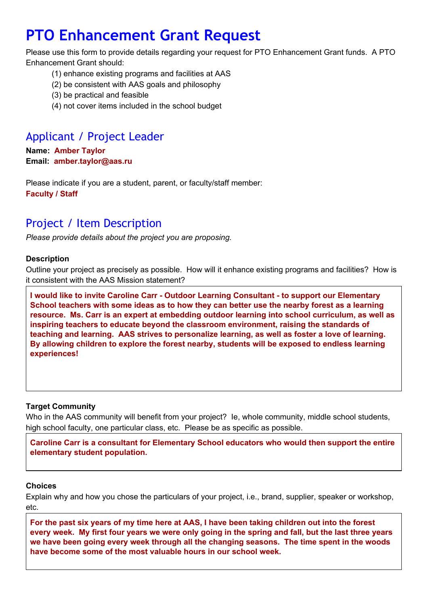# **PTO Enhancement Grant Request**

Please use this form to provide details regarding your request for PTO Enhancement Grant funds. A PTO Enhancement Grant should:

- (1) enhance existing programs and facilities at AAS
- (2) be consistent with AAS goals and philosophy
- (3) be practical and feasible
- (4) not cover items included in the school budget

# Applicant / Project Leader

**Name:Amber Taylor Email: amber.taylor@aas.ru**

Please indicate if you are a student, parent, or faculty/staff member: **Faculty / Staff**

## Project / Item Description

*Please provide details about the project you are proposing.*

### **Description**

Outline your project as precisely as possible. How will it enhance existing programs and facilities? How is it consistent with the AAS Mission statement?

**I would like to invite Caroline Carr Outdoor Learning Consultant to support our Elementary School teachers with some ideas as to how they can better use the nearby forest as a learning resource. Ms. Carr is an expert at embedding outdoor learning into school curriculum, as well as inspiring teachers to educate beyond the classroom environment, raising the standards of teaching and learning. AAS strives to personalize learning, as well as foster a love of learning. By allowing children to explore the forest nearby, students will be exposed to endless learning experiences!**

### **Target Community**

Who in the AAS community will benefit from your project? le, whole community, middle school students, high school faculty, one particular class, etc. Please be as specific as possible.

**Caroline Carr is a consultant for Elementary School educators who would then support the entire elementary student population.**

### **Choices**

Explain why and how you chose the particulars of your project, i.e., brand, supplier, speaker or workshop, etc.

For the past six years of my time here at AAS, I have been taking children out into the forest every week. My first four years we were only going in the spring and fall, but the last three years **we have been going every week through all the changing seasons. The time spent in the woods have become some of the most valuable hours in our school week.**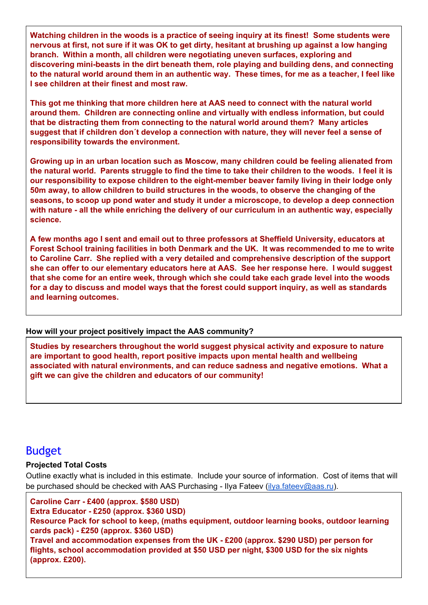**Watching children in the woods is a practice of seeing inquiry at its finest! Some students were** nervous at first, not sure if it was OK to get dirty, hesitant at brushing up against a low hanging **branch. Within a month, all children were negotiating uneven surfaces, exploring and discovering minibeasts in the dirt beneath them, role playing and building dens, and connecting** to the natural world around them in an authentic way. These times, for me as a teacher. I feel like **I see children at their finest and most raw.**

**This got me thinking that more children here at AAS need to connect with the natural world around them. Children are connecting online and virtually with endless information, but could that be distracting them from connecting to the natural world around them? Many articles suggest that if children don´t develop a connection with nature, they will never feel a sense of responsibility towards the environment.**

**Growing up in an urban location such as Moscow, many children could be feeling alienated from** the natural world. Parents struggle to find the time to take their children to the woods. I feel it is **our responsibility to expose children to the eightmember beaver family living in their lodge only 50m away, to allow children to build structures in the woods, to observe the changing of the seasons, to scoop up pond water and study it under a microscope, to develop a deep connection with nature all the while enriching the delivery of our curriculum in an authentic way, especially science.**

**A few months ago I sent and email out to three professors at Sheffield University, educators at Forest School training facilities in both Denmark and the UK. It was recommended to me to write to Caroline Carr. She replied with a very detailed and comprehensive description of the support she can offer to our elementary educators here at AAS. See her response here. I would suggest that she come for an entire week, through which she could take each grade level into the woods for a day to discuss and model ways that the forest could support inquiry, as well as standards and learning outcomes.**

### **How will your project positively impact the AAS community?**

**Studies by researchers throughout the world suggest physical activity and exposure to nature are important to good health, report positive impacts upon mental health and wellbeing associated with natural environments, and can reduce sadness and negative emotions. What a gift we can give the children and educators of our community!**

### Budget

### **Projected Total Costs**

Outline exactly what is included in this estimate. Include your source of information. Cost of items that will be purchased should be checked with AAS Purchasing - Ilya Fateev [\(ilya.fateev@aas.ru\)](mailto:ilya.fateev@aas.ru).

**Caroline Carr £400 (approx. \$580 USD) Extra Educator £250 (approx. \$360 USD) Resource Pack for school to keep, (maths equipment, outdoor learning books, outdoor learning cards pack) £250 (approx. \$360 USD) Travel and accommodation expenses from the UK £200 (approx. \$290 USD) per person for flights, school accommodation provided at \$50 USD per night, \$300 USD for the six nights (approx. £200).**